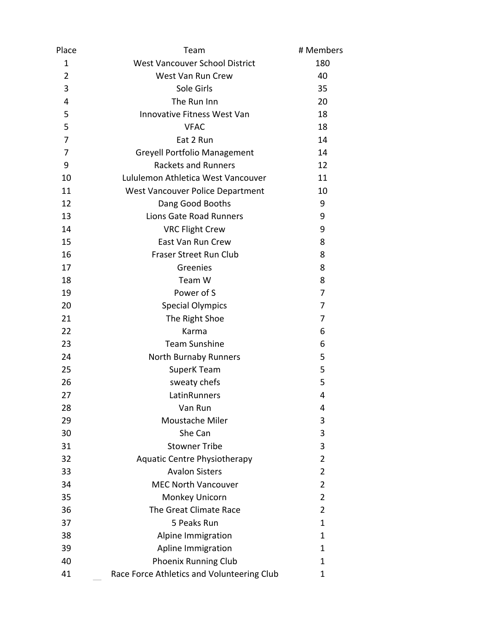| Place          | Team                                       | # Members      |
|----------------|--------------------------------------------|----------------|
| 1              | <b>West Vancouver School District</b>      | 180            |
| $\overline{2}$ | West Van Run Crew                          | 40             |
| 3              | Sole Girls                                 | 35             |
| 4              | The Run Inn                                | 20             |
| 5              | <b>Innovative Fitness West Van</b>         | 18             |
| 5              | <b>VFAC</b>                                | 18             |
| 7              | Eat 2 Run                                  | 14             |
| 7              | <b>Greyell Portfolio Management</b>        | 14             |
| 9              | <b>Rackets and Runners</b>                 | 12             |
| 10             | Lululemon Athletica West Vancouver         | 11             |
| 11             | West Vancouver Police Department           | 10             |
| 12             | Dang Good Booths                           | 9              |
| 13             | <b>Lions Gate Road Runners</b>             | 9              |
| 14             | <b>VRC Flight Crew</b>                     | 9              |
| 15             | East Van Run Crew                          | 8              |
| 16             | Fraser Street Run Club                     | 8              |
| 17             | Greenies                                   | 8              |
| 18             | Team W                                     | 8              |
| 19             | Power of S                                 | 7              |
| 20             | <b>Special Olympics</b>                    | 7              |
| 21             | The Right Shoe                             | 7              |
| 22             | Karma                                      | 6              |
| 23             | <b>Team Sunshine</b>                       | 6              |
| 24             | North Burnaby Runners                      | 5              |
| 25             | <b>SuperK Team</b>                         | 5              |
| 26             | sweaty chefs                               | 5              |
| 27             | LatinRunners                               | 4              |
| 28             | Van Run                                    | 4              |
| 29             | Moustache Miler                            | 3              |
| 30             | She Can                                    | 3              |
| 31             | <b>Stowner Tribe</b>                       | 3              |
| 32             | <b>Aquatic Centre Physiotherapy</b>        | $\overline{2}$ |
| 33             | <b>Avalon Sisters</b>                      | 2              |
| 34             | <b>MEC North Vancouver</b>                 | $\overline{2}$ |
| 35             | Monkey Unicorn                             | $\overline{2}$ |
| 36             | The Great Climate Race                     | 2              |
| 37             | 5 Peaks Run                                | $\mathbf{1}$   |
| 38             | Alpine Immigration                         | 1              |
| 39             | Apline Immigration                         | 1              |
| 40             | <b>Phoenix Running Club</b>                | 1              |
| 41             | Race Force Athletics and Volunteering Club | 1              |